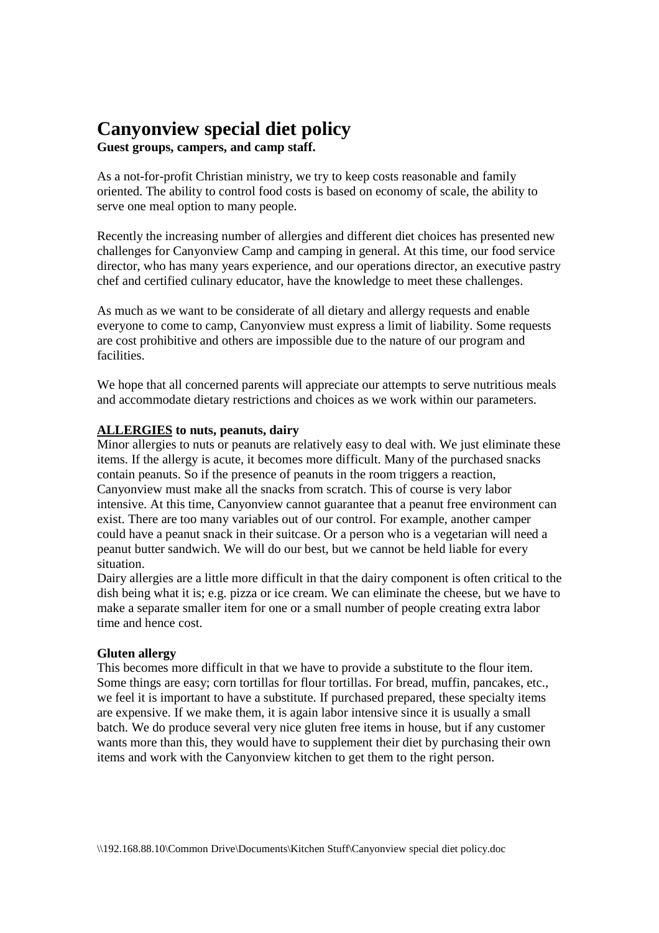# **Canyonview special diet policy**

**Guest groups, campers, and camp staff.** 

As a not-for-profit Christian ministry, we try to keep costs reasonable and family oriented. The ability to control food costs is based on economy of scale, the ability to serve one meal option to many people.

Recently the increasing number of allergies and different diet choices has presented new challenges for Canyonview Camp and camping in general. At this time, our food service director, who has many years experience, and our operations director, an executive pastry chef and certified culinary educator, have the knowledge to meet these challenges.

As much as we want to be considerate of all dietary and allergy requests and enable everyone to come to camp, Canyonview must express a limit of liability. Some requests are cost prohibitive and others are impossible due to the nature of our program and facilities.

We hope that all concerned parents will appreciate our attempts to serve nutritious meals and accommodate dietary restrictions and choices as we work within our parameters.

## **ALLERGIES to nuts, peanuts, dairy**

Minor allergies to nuts or peanuts are relatively easy to deal with. We just eliminate these items. If the allergy is acute, it becomes more difficult. Many of the purchased snacks contain peanuts. So if the presence of peanuts in the room triggers a reaction, Canyonview must make all the snacks from scratch. This of course is very labor intensive. At this time, Canyonview cannot guarantee that a peanut free environment can exist. There are too many variables out of our control. For example, another camper could have a peanut snack in their suitcase. Or a person who is a vegetarian will need a peanut butter sandwich. We will do our best, but we cannot be held liable for every situation.

Dairy allergies are a little more difficult in that the dairy component is often critical to the dish being what it is; e.g. pizza or ice cream. We can eliminate the cheese, but we have to make a separate smaller item for one or a small number of people creating extra labor time and hence cost.

## **Gluten allergy**

This becomes more difficult in that we have to provide a substitute to the flour item. Some things are easy; corn tortillas for flour tortillas. For bread, muffin, pancakes, etc., we feel it is important to have a substitute. If purchased prepared, these specialty items are expensive. If we make them, it is again labor intensive since it is usually a small batch. We do produce several very nice gluten free items in house, but if any customer wants more than this, they would have to supplement their diet by purchasing their own items and work with the Canyonview kitchen to get them to the right person.